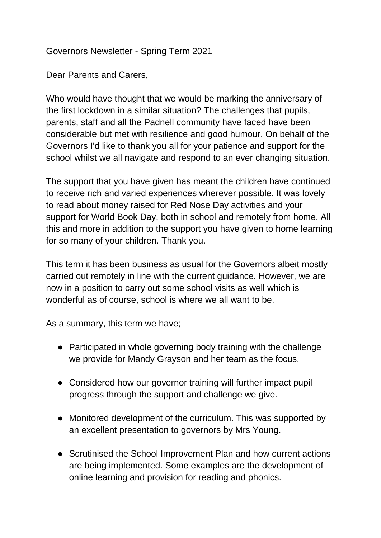## Governors Newsletter - Spring Term 2021

Dear Parents and Carers,

Who would have thought that we would be marking the anniversary of the first lockdown in a similar situation? The challenges that pupils, parents, staff and all the Padnell community have faced have been considerable but met with resilience and good humour. On behalf of the Governors I'd like to thank you all for your patience and support for the school whilst we all navigate and respond to an ever changing situation.

The support that you have given has meant the children have continued to receive rich and varied experiences wherever possible. It was lovely to read about money raised for Red Nose Day activities and your support for World Book Day, both in school and remotely from home. All this and more in addition to the support you have given to home learning for so many of your children. Thank you.

This term it has been business as usual for the Governors albeit mostly carried out remotely in line with the current guidance. However, we are now in a position to carry out some school visits as well which is wonderful as of course, school is where we all want to be.

As a summary, this term we have;

- Participated in whole governing body training with the challenge we provide for Mandy Grayson and her team as the focus.
- Considered how our governor training will further impact pupil progress through the support and challenge we give.
- Monitored development of the curriculum. This was supported by an excellent presentation to governors by Mrs Young.
- Scrutinised the School Improvement Plan and how current actions are being implemented. Some examples are the development of online learning and provision for reading and phonics.